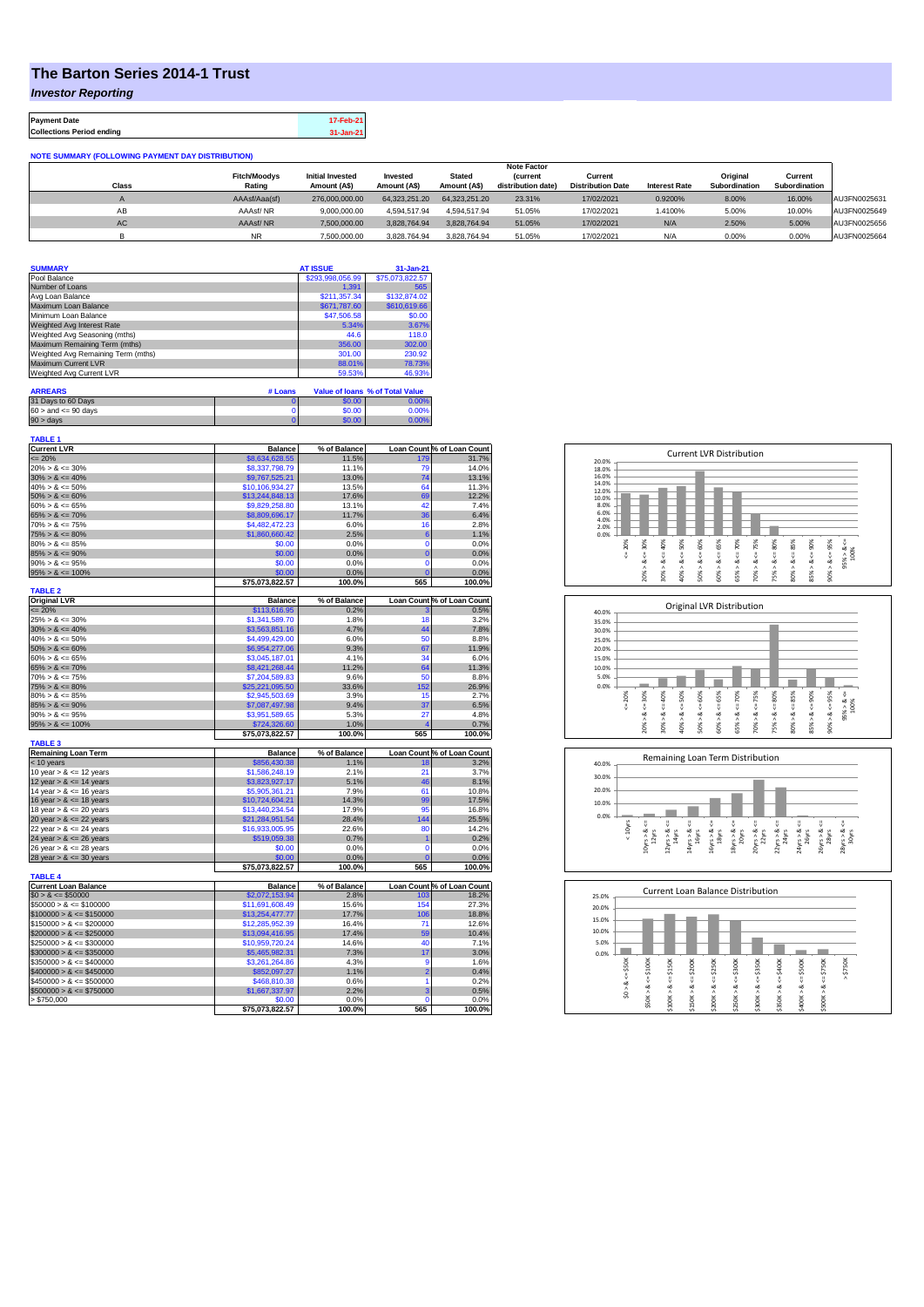## **The Barton Series 2014-1 Trust**

*Investor Reporting*

**Payment Date 17-Feb-21 Collections Period ending 31-Jan-21**

| <b>NOTE SUMMARY (FOLLOWING PAYMENT DAY DISTRIBUTION)</b> |                               |                                         |                          |                               |                                       |                                     |                      |                           |                          |              |
|----------------------------------------------------------|-------------------------------|-----------------------------------------|--------------------------|-------------------------------|---------------------------------------|-------------------------------------|----------------------|---------------------------|--------------------------|--------------|
|                                                          |                               |                                         |                          |                               | <b>Note Factor</b>                    |                                     |                      |                           |                          |              |
| <b>Class</b>                                             | <b>Fitch/Moodvs</b><br>Rating | <b>Initial Invested</b><br>Amount (A\$) | Invested<br>Amount (A\$) | <b>Stated</b><br>Amount (A\$) | <b>(current</b><br>distribution date) | Current<br><b>Distribution Date</b> | <b>Interest Rate</b> | Original<br>Subordination | Current<br>Subordination |              |
|                                                          |                               |                                         |                          |                               |                                       |                                     |                      |                           |                          |              |
|                                                          | AAAsf/Aaa(sf)                 | 276,000,000.00                          | 64.323.251.20            | 64.323.251.20                 | 23.31%                                | 17/02/2021                          | 0.9200%              | 8.00%                     | 16.00%                   | AU3FN0025631 |
| AB                                                       | AAAsf/NR                      | 9.000.000.00                            | 4.594.517.94             | 4.594.517.94                  | 51.05%                                | 17/02/2021                          | 1.4100%              | 5.00%                     | 10.00%                   | AU3FN0025649 |
| AC                                                       | AAAsf/NR                      | 7.500.000.00                            | 3.828.764.94             | 3.828.764.94                  | 51.05%                                | 17/02/2021                          | N/A                  | 2.50%                     | 5.00%                    | AU3FN0025656 |
|                                                          | <b>NR</b>                     | 7.500.000.00                            | 3.828.764.94             | 3.828.764.94                  | 51.05%                                | 17/02/2021                          | N/A                  | 0.00%                     | 0.00%                    | AU3FN0025664 |

| <b>SUMMARY</b>                     | <b>AT ISSUE</b>  | $31 - Jan-21$   |
|------------------------------------|------------------|-----------------|
| Pool Balance                       | \$293,998,056.99 | \$75,073,822.57 |
| Number of Loans                    | 1.391            | 565             |
| Avg Loan Balance                   | \$211.357.34     | \$132,874.02    |
| Maximum Loan Balance               | \$671,787.60     | \$610,619.66    |
| Minimum Loan Balance               | \$47,506.58      | \$0.00          |
| Weighted Avg Interest Rate         | 5.34%            | 3.67%           |
| Weighted Avg Seasoning (mths)      | 44.6             | 118.0           |
| Maximum Remaining Term (mths)      | 356.00           | 302.00          |
| Weighted Avg Remaining Term (mths) | 301.00           | 230.92          |
| Maximum Current LVR                | 88.01%           | 78.73%          |
| Weighted Avg Current LVR           | 59.53%           | 46.93%          |

| <b>ARREARS</b>            | # Loans |        | Value of Ioans % of Total Value |
|---------------------------|---------|--------|---------------------------------|
| 31 Days to 60 Days        |         | \$0.00 | 0.00%                           |
| $60 >$ and $\leq 90$ days |         | \$0.00 | 0.00%                           |
| 90 > davs                 |         | \$0.00 | $0.00\%$                        |

| <b>TABLE 1</b>                             |                                  |                |                 |                            |
|--------------------------------------------|----------------------------------|----------------|-----------------|----------------------------|
| <b>Current LVR</b>                         | <b>Balance</b>                   | % of Balance   |                 | Loan Count % of Loan Count |
| $= 20%$                                    | \$8,634,628.55                   | 11.5%          | 179             | 31.7%                      |
| $20\% > 8 \le 30\%$                        | \$8,337,798.79                   | 11.1%          | 79              | 14.0%                      |
| $30\% > 8 \le 40\%$                        | \$9,767,525.21                   | 13.0%          | 74              | 13.1%                      |
| $40\% > 8 \le 50\%$                        | \$10,106,934.27                  | 13.5%          | 64              | 11.3%                      |
| $50\% > 8 \le 60\%$                        | \$13,244,848.13                  | 17.6%          | 69              | 12.2%                      |
| $60\% > 8 \le 65\%$                        | \$9,829,258.80                   | 13.1%          | 42              | 7.4%                       |
| $65\% > 8 \le 70\%$                        | \$8,809,696.17                   | 11.7%          | 36              | 6.4%                       |
| $70\% > 8 \le 75\%$                        | \$4,482,472.23                   | 6.0%           | 16              | 2.8%                       |
|                                            |                                  | 2.5%           | 6               | 1.1%                       |
| $75\% > 8 \le 80\%$<br>$80\% > 8 \le 85\%$ | \$1,860,660.42<br>\$0.00         |                | $\mathbf 0$     |                            |
|                                            |                                  | 0.0%           |                 | 0.0%                       |
| $85\% > 8 \le 90\%$                        | \$0.00                           | 0.0%           | $\overline{0}$  | 0.0%                       |
| $90\% > 8 \le 95\%$                        | \$0.00                           | 0.0%           | $\overline{0}$  | 0.0%                       |
| $95\% > 8 \le 100\%$                       | \$0.00                           | 0.0%           | $\overline{0}$  | 0.0%                       |
|                                            | \$75,073,822.57                  | 100.0%         | 565             | 100.0%                     |
| <b>TABLE 2</b>                             |                                  |                |                 |                            |
| <b>Original LVR</b>                        | <b>Balance</b>                   | % of Balance   |                 | Loan Count % of Loan Count |
| $= 20%$                                    | \$113,616.95                     | 0.2%           |                 | 0.5%                       |
| $25\% > 8 \le 30\%$                        | \$1,341,589.70                   | 1.8%           | 18              | 3.2%                       |
| $30\% > 8 \le 40\%$                        | \$3,563,851.16                   | 4.7%           | 44              | 7.8%                       |
| $40\% > 8 \le 50\%$                        | \$4,499,429.00                   | 6.0%           | 50              | 8.8%                       |
| $50\% > 8 \le 60\%$                        | \$6,954,277.06                   | 9.3%           | 67              | 11.9%                      |
| $60\% > 8 \le 65\%$                        | \$3,045,187.01                   | 4.1%           | 34              | 6.0%                       |
| $65\% > 8 \le 70\%$                        | \$8,421,268.44                   | 11.2%          | 64              | 11.3%                      |
| $70\% > 8 \le 75\%$                        | \$7,204,589.83                   | 9.6%           | 50              | 8.8%                       |
| $75\% > 8 \le 80\%$                        | \$25,221,095.50                  | 33.6%          | 152             | 26.9%                      |
| $80\% > 8 \le 85\%$                        | \$2,945,503.69                   | 3.9%           | 15              | 2.7%                       |
| $85\% > 8 \le 90\%$                        |                                  | 9.4%           | 37              | 6.5%                       |
| $90\% > 8 \le 95\%$                        | \$7,087,497.98<br>\$3.951.589.65 | 5.3%           | 27              | 4.8%                       |
|                                            |                                  |                |                 |                            |
|                                            |                                  |                |                 |                            |
| $95\% > 8 \le 100\%$                       | \$724,326.60                     | 1.0%           | 4               | 0.7%                       |
|                                            | \$75,073,822.57                  | 100.0%         | 565             | 100.0%                     |
| <b>TABLE 3</b>                             |                                  |                |                 |                            |
| <b>Remaining Loan Term</b>                 | <b>Balance</b>                   | % of Balance   |                 | Loan Count % of Loan Count |
| $<$ 10 years                               | \$856,430.38                     | 1.1%           | 18              | 3.2%                       |
| 10 year $> 8 \le 12$ years                 | \$1,586,248.19                   | 2.1%           | 21              | 3.7%                       |
| 12 year $> 8 \le 14$ years                 | \$3,823,927.17                   | 5.1%           | 46              | 8.1%                       |
| 14 year $> 8 \le 16$ years                 | \$5,905,361.21                   | 7.9%           | 61              | 10.8%                      |
| 16 year $> 8 \le 18$ years                 | \$10,724,604.21                  | 14.3%          | 99              | 17.5%                      |
| 18 year $> 8 \le 20$ years                 | \$13,440,234.54                  | 17.9%          | 95              | 16.8%                      |
| 20 year $> 8 \le 22$ years                 | \$21,284,951.54                  | 28.4%          | 144             | 25.5%                      |
| 22 year $> 8 \le 24$ years                 | \$16,933,005.95                  | 22.6%          | 80              | 14.2%                      |
| 24 year $> 8 \le 26$ years                 | \$519,059.38                     | 0.7%           | 1               | 0.2%                       |
| 26 year $> 8 \le 28$ years                 | \$0.00                           | 0.0%           | $\overline{0}$  | 0.0%                       |
|                                            | \$0.00                           | 0.0%           | $\overline{0}$  | 0.0%                       |
| 28 year $> 8 \le 30$ years                 |                                  |                | 565             |                            |
|                                            | \$75,073,822.57                  | 100.0%         |                 | 100.0%                     |
| <b>TABLE 4</b>                             |                                  |                |                 |                            |
| <b>Current Loan Balance</b>                | <b>Balance</b>                   | % of Balance   |                 | Loan Count % of Loan Count |
| $$0 > 8 \le $50000$                        | \$2,072,153.94                   | 2.8%           | 103             | 18.2%                      |
| $$50000 > 8 \le $100000$                   | \$11,691,608.49                  | 15.6%          | 154             | 27.3%                      |
| $$100000 > 8 \le $150000$                  | \$13,254,477.77                  | 17.7%          | 106             | 18.8%                      |
| $$150000 > 8 \le $200000$                  | \$12,285,952.39                  | 16.4%          | 71              | 12.6%                      |
| $$200000 > 8 \leq $250000$                 | \$13,094,416.95                  | 17.4%          | 59              | 10.4%                      |
| $$250000 > 8 \le $300000$                  | \$10,959,720.24                  | 14.6%          | 40              | 7.1%                       |
| $$300000 > 8 \leq $350000$                 | \$5,465,982.31                   | 7.3%           | 17              | 3.0%                       |
| $$350000 > 8 \le $400000$                  | \$3,261,264.86                   | 4.3%           | 9               | 1.6%                       |
| $$400000 > 8 \leq $450000$                 | \$852,097.27                     | 1.1%           | $\overline{2}$  | 0.4%                       |
| $$450000 > 8 \leq $500000$                 | \$468,810.38                     | 0.6%           | 1               | 0.2%                       |
| $$500000 > 8 \le $750000$                  | \$1,667,337.97                   | 2.2%           | 3               | 0.5%                       |
| > \$750,000                                | \$0.00<br>\$75,073,822.57        | 0.0%<br>100.0% | $\Omega$<br>565 | 0.0%<br>100.0%             |







| 25.0% |            |        | Current Loan Balance Distribution |         |         |         |         |         |         |         |          |
|-------|------------|--------|-----------------------------------|---------|---------|---------|---------|---------|---------|---------|----------|
| 20.0% |            |        |                                   |         |         |         |         |         |         |         |          |
| 15.0% |            |        |                                   |         |         |         |         |         |         |         |          |
| 10.0% |            |        |                                   |         |         |         |         |         |         |         |          |
| 5.0%  |            |        |                                   |         |         |         |         |         |         |         |          |
| 0.0%  |            |        |                                   |         |         |         |         |         |         |         |          |
|       | \$50K      | \$100K | \$150K                            | \$200K  | \$250K  | \$300K  | \$350K  | \$400K  | \$500K  | \$750K  | \$750K   |
|       | U          | ₩      |                                   | IJ      |         | J       |         |         |         | IJ      | $\wedge$ |
|       | ∞          | ∞      | œ                                 | œ       | œ       | œ       | œ       | œ       | œ       | œ       |          |
|       | $\hat{50}$ | \$50K> | \$100K>                           | \$150K> | \$200K> | \$250K> | \$300K> | \$350K> | \$400K> | \$500K> |          |
|       |            |        |                                   |         |         |         |         |         |         |         |          |